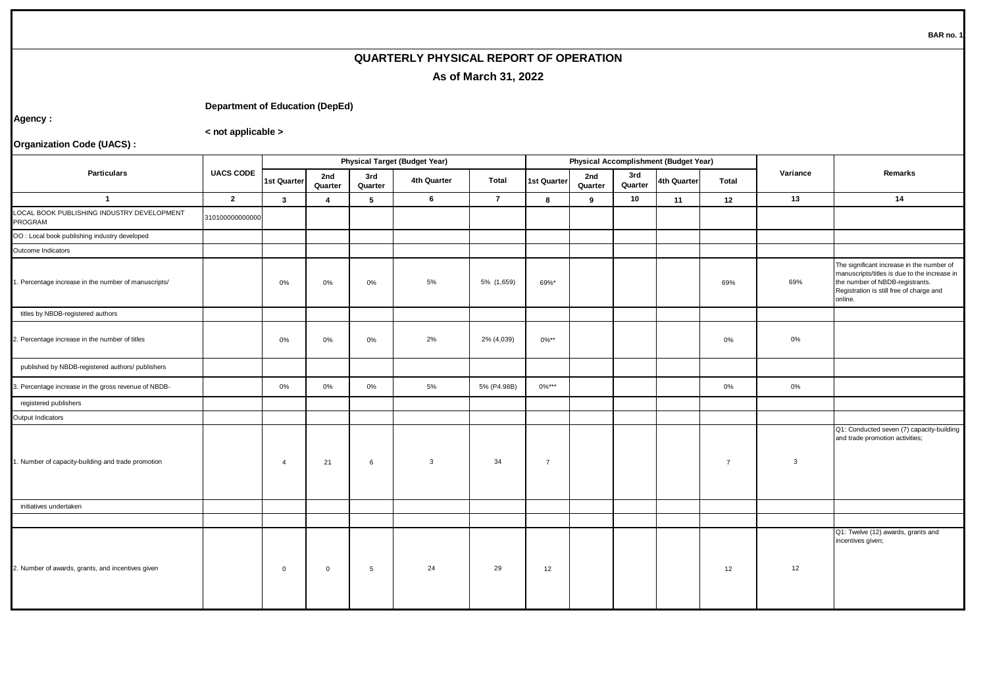## **QUARTERLY PHYSICAL REPORT OF OPERATION As of March 31, 2022**

## **Department of Education (DepEd)**

**Agency :**

**< not applicable >**

**Organization Code (UACS) :**

| <b>Particulars</b>                                    | <b>UACS CODE</b> | <b>Physical Target (Budget Year)</b> |                |                 |              |                |                |                |                | <b>Physical Accomplishment (Budget Year)</b> |                |                |                                                                                                                                                                                     |  |
|-------------------------------------------------------|------------------|--------------------------------------|----------------|-----------------|--------------|----------------|----------------|----------------|----------------|----------------------------------------------|----------------|----------------|-------------------------------------------------------------------------------------------------------------------------------------------------------------------------------------|--|
|                                                       |                  | <b>1st Quarter</b>                   | 2nd<br>Quarter | 3rd<br>Quarter  | 4th Quarter  | Total          | 1st Quarter    | 2nd<br>Quarter | 3rd<br>Quarter | 4th Quarter                                  | Total          | Variance       | Remarks                                                                                                                                                                             |  |
| $\overline{1}$                                        | $\overline{2}$   | $\mathbf{3}$                         | 4              | 5               | 6            | $\overline{7}$ | 8              | 9              | 10             | 11                                           | 12             | 13             | 14                                                                                                                                                                                  |  |
| LOCAL BOOK PUBLISHING INDUSTRY DEVELOPMENT<br>PROGRAM | 310100000000000  |                                      |                |                 |              |                |                |                |                |                                              |                |                |                                                                                                                                                                                     |  |
| OO : Local book publishing industry developed         |                  |                                      |                |                 |              |                |                |                |                |                                              |                |                |                                                                                                                                                                                     |  |
| Outcome Indicators                                    |                  |                                      |                |                 |              |                |                |                |                |                                              |                |                |                                                                                                                                                                                     |  |
| . Percentage increase in the number of manuscripts/   |                  | 0%                                   | $0\%$          | $0\%$           | 5%           | 5% (1,659)     | 69%*           |                |                |                                              | 69%            | 69%            | The significant increase in the number of<br>manuscripts/titles is due to the increase in<br>the number of NBDB-registrants.<br>Registration is still free of charge and<br>online. |  |
| titles by NBDB-registered authors                     |                  |                                      |                |                 |              |                |                |                |                |                                              |                |                |                                                                                                                                                                                     |  |
| 2. Percentage increase in the number of titles        |                  | 0%                                   | $0\%$          | $0\%$           | 2%           | 2% (4,039)     | $0\%***$       |                |                |                                              | 0%             | 0%             |                                                                                                                                                                                     |  |
| published by NBDB-registered authors/ publishers      |                  |                                      |                |                 |              |                |                |                |                |                                              |                |                |                                                                                                                                                                                     |  |
| 3. Percentage increase in the gross revenue of NBDB-  |                  | 0%                                   | 0%             | $0\%$           | 5%           | 5% (P4.98B)    | $0\%***$       |                |                |                                              | 0%             | $0\%$          |                                                                                                                                                                                     |  |
| registered publishers                                 |                  |                                      |                |                 |              |                |                |                |                |                                              |                |                |                                                                                                                                                                                     |  |
| Output Indicators                                     |                  |                                      |                |                 |              |                |                |                |                |                                              |                |                |                                                                                                                                                                                     |  |
| 1. Number of capacity-building and trade promotion    |                  | $\overline{4}$                       | 21             | 6               | $\mathbf{3}$ | 34             | $\overline{7}$ |                |                |                                              | $\overline{7}$ | $\overline{3}$ | Q1: Conducted seven (7) capacity-building<br>and trade promotion activities;                                                                                                        |  |
| initiatives undertaken                                |                  |                                      |                |                 |              |                |                |                |                |                                              |                |                |                                                                                                                                                                                     |  |
|                                                       |                  |                                      |                |                 |              |                |                |                |                |                                              |                |                |                                                                                                                                                                                     |  |
| 2. Number of awards, grants, and incentives given     |                  | $\mathbf 0$                          | $\mathbf 0$    | $5\overline{5}$ | 24           | 29             | 12             |                |                |                                              | 12             | 12             | Q1: Twelve (12) awards, grants and<br>incentives given;                                                                                                                             |  |

**BAR no. 1**